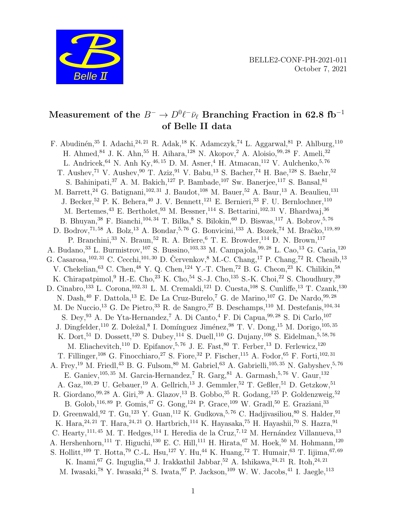

# Measurement of the  $B^-\to D^0\ell^-\bar\nu_\ell$  Branching Fraction in 62.8 fb $^{-1}$ of Belle II data

F. Abudinén,<sup>35</sup> I. Adachi,<sup>24, 21</sup> R. Adak,<sup>18</sup> K. Adamczyk,<sup>74</sup> L. Aggarwal,<sup>81</sup> P. Ahlburg,<sup>110</sup> H. Ahmed,  $84$  J. K. Ahn,  $55$  H. Aihara,  $128$  N. Akopov,  $2$  A. Aloisio,  $99, 28$  F. Ameli,  $32$ L. Andricek, <sup>64</sup> N. Anh Ky, <sup>46, 15</sup> D. M. Asner, <sup>4</sup> H. Atmacan, <sup>112</sup> V. Aulchenko, <sup>5, 76</sup> T. Aushev,<sup>71</sup> V. Aushev,<sup>90</sup> T. Aziz,<sup>91</sup> V. Babu,<sup>13</sup> S. Bacher,<sup>74</sup> H. Bae,<sup>128</sup> S. Baehr,<sup>52</sup> S. Bahinipati,  $37$  A. M. Bakich,  $127$  P. Bambade,  $107$  Sw. Banerjee,  $117$  S. Bansal,  $81$ M. Barrett,  $^{24}$  G. Batignani,  $^{102,31}$  J. Baudot,  $^{108}$  M. Bauer,  $^{52}$  A. Baur,  $^{13}$  A. Beaulieu,  $^{131}$ J. Becker, 52 P. K. Behera,  $40$  J. V. Bennett,  $121$  E. Bernieri,  $33$  F. U. Bernlochner,  $110$ M. Bertemes, <sup>43</sup> E. Bertholet, <sup>93</sup> M. Bessner, <sup>114</sup> S. Bettarini, <sup>102, 31</sup> V. Bhardwaj, <sup>36</sup> B. Bhuyan,  $38$  F. Bianchi,  $104, 34$  T. Bilka,  $8$  S. Bilokin,  $60$  D. Biswas,  $117$  A. Bobrov,  $5, 76$ D. Bodrov,<sup>71,58</sup> A. Bolz,<sup>13</sup> A. Bondar,<sup>5,76</sup> G. Bonvicini,<sup>133</sup> A. Bozek,<sup>74</sup> M. Bračko,<sup>119,89</sup> P. Branchini,  $33$  N. Braun,  $52$  R. A. Briere,  $6$  T. E. Browder,  $^{114}$  D. N. Brown,  $^{117}$ A. Budano,<sup>33</sup> L. Burmistrov,<sup>107</sup> S. Bussino,<sup>103,33</sup> M. Campajola,<sup>99,28</sup> L. Cao,<sup>13</sup> G. Caria,<sup>120</sup> G. Casarosa,<sup>102, 31</sup> C. Cecchi,<sup>101, 30</sup> D. Červenkov, <sup>8</sup> M.-C. Chang,<sup>17</sup> P. Chang,<sup>72</sup> R. Cheaib,<sup>13</sup> V. Chekelian,  $^{63}$  C. Chen,  $^{48}$  Y. Q. Chen,  $^{124}$  Y.-T. Chen,  $^{72}$  B. G. Cheon,  $^{23}$  K. Chilikin,  $^{58}$ K. Chirapatpimol, <sup>9</sup> H.-E. Cho, <sup>23</sup> K. Cho, <sup>54</sup> S.-J. Cho, <sup>135</sup> S.-K. Choi, <sup>22</sup> S. Choudhury, <sup>39</sup> D. Cinabro,<sup>133</sup> L. Corona,<sup>102, 31</sup> L. M. Cremaldi,<sup>121</sup> D. Cuesta,<sup>108</sup> S. Cunliffe,<sup>13</sup> T. Czank,<sup>130</sup> N. Dash,  $^{40}$  F. Dattola,  $^{13}$  E. De La Cruz-Burelo, <sup>7</sup> G. de Marino,  $^{107}$  G. De Nardo,  $^{99,28}$ M. De Nuccio,<sup>13</sup> G. De Pietro,<sup>33</sup> R. de Sangro,<sup>27</sup> B. Deschamps,<sup>110</sup> M. Destefanis,<sup>104,34</sup> S. Dey,  $^{93}$  A. De Yta-Hernandez,  $^7$  A. Di Canto,  $^4$  F. Di Capua,  $^{99,28}$  S. Di Carlo,  $^{107}$ J. Dingfelder,<sup>110</sup> Z. Doležal,<sup>8</sup> I. Domínguez Jiménez,<sup>98</sup> T. V. Dong,<sup>15</sup> M. Dorigo,<sup>105,35</sup> K. Dort,<sup>51</sup> D. Dossett,<sup>120</sup> S. Dubey,<sup>114</sup> S. Duell,<sup>110</sup> G. Dujany,<sup>108</sup> S. Eidelman,<sup>5,58,76</sup> M. Eliachevitch,<sup>110</sup> D. Epifanov,<sup>5,76</sup> J. E. Fast,<sup>80</sup> T. Ferber,<sup>13</sup> D. Ferlewicz,<sup>120</sup> T. Fillinger,<sup>108</sup> G. Finocchiaro,<sup>27</sup> S. Fiore,<sup>32</sup> P. Fischer,<sup>115</sup> A. Fodor,<sup>65</sup> F. Forti,<sup>102,31</sup> A. Frey,<sup>19</sup> M. Friedl,<sup>43</sup> B. G. Fulsom,<sup>80</sup> M. Gabriel,<sup>63</sup> A. Gabrielli,<sup>105, 35</sup> N. Gabyshev,<sup>5,76</sup> E. Ganiev,  $^{105,35}$  M. Garcia-Hernandez, <sup>7</sup> R. Garg, <sup>81</sup> A. Garmash, <sup>5, 76</sup> V. Gaur, <sup>132</sup> A. Gaz,  $^{100, 29}$  U. Gebauer,  $^{19}$  A. Gellrich,  $^{13}$  J. Gemmler,  $^{52}$  T. Geßler,  $^{51}$  D. Getzkow,  $^{51}$ R. Giordano,  $99, 28$  A. Giri,  $39$  A. Glazov,  $^{13}$  B. Gobbo,  $^{35}$  R. Godang,  $^{125}$  P. Goldenzweig,  $^{52}$ B. Golob,  $^{116, 89}$  P. Gomis,  $^{47}$  G. Gong,  $^{124}$  P. Grace,  $^{109}$  W. Gradl,  $^{50}$  E. Graziani,  $^{33}$ D. Greenwald, <sup>92</sup> T. Gu,<sup>123</sup> Y. Guan, <sup>112</sup> K. Gudkova, <sup>5,76</sup> C. Hadjivasiliou, <sup>80</sup> S. Halder, <sup>91</sup> K. Hara,  $24, 21$  T. Hara,  $24, 21$  O. Hartbrich,  $114$  K. Havasaka,  $75$  H. Havashii,  $70$  S. Hazra,  $91$ C. Hearty,<sup>111, 45</sup> M. T. Hedges,<sup>114</sup> I. Heredia de la Cruz,<sup>7, 12</sup> M. Hernández Villanueva,<sup>13</sup> A. Hershenhorn,<sup>111</sup> T. Higuchi,<sup>130</sup> E. C. Hill,<sup>111</sup> H. Hirata,<sup>67</sup> M. Hoek,<sup>50</sup> M. Hohmann,<sup>120</sup> S. Hollitt,<sup>109</sup> T. Hotta,<sup>79</sup> C.-L. Hsu,<sup>127</sup> Y. Hu,<sup>44</sup> K. Huang,<sup>72</sup> T. Humair,<sup>63</sup> T. Iijima,<sup>67,69</sup> K. Inami,  $67$  G. Inguglia,  $43$  J. Irakkathil Jabbar,  $52$  A. Ishikawa,  $24, 21$  R. Itoh,  $24, 21$ M. Iwasaki,<sup>78</sup> Y. Iwasaki,<sup>24</sup> S. Iwata,<sup>97</sup> P. Jackson,<sup>109</sup> W. W. Jacobs,<sup>41</sup> I. Jaegle,<sup>113</sup>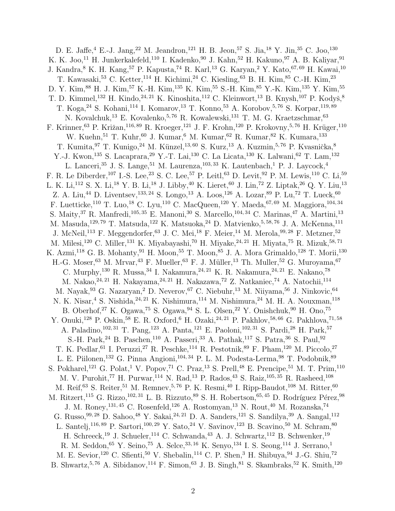D. E. Jaffe, <sup>4</sup> E.-J. Jang, <sup>22</sup> M. Jeandron, <sup>121</sup> H. B. Jeon, <sup>57</sup> S. Jia, <sup>18</sup> Y. Jin, <sup>35</sup> C. Joo, <sup>130</sup> K. K. Joo,<sup>11</sup> H. Junkerkalefeld,<sup>110</sup> I. Kadenko,<sup>90</sup> J. Kahn,<sup>52</sup> H. Kakuno,<sup>97</sup> A. B. Kaliyar,<sup>91</sup> J. Kandra, 8 K. H. Kang, 57 P. Kapusta, 74 R. Karl, <sup>13</sup> G. Karyan, 2 Y. Kato, <sup>67, 69</sup> H. Kawai, <sup>10</sup> T. Kawasaki, $5^3$  C. Ketter,  $^{114}$  H. Kichimi,  $^{24}$  C. Kiesling,  $^{63}$  B. H. Kim,  $^{85}$  C.-H. Kim,  $^{23}$ D. Y. Kim, <sup>88</sup> H. J. Kim, <sup>57</sup> K.-H. Kim, <sup>135</sup> K. Kim, <sup>55</sup> S.-H. Kim, <sup>85</sup> Y.-K. Kim, <sup>135</sup> Y. Kim, <sup>55</sup> T. D. Kimmel,<sup>132</sup> H. Kindo,<sup>24, 21</sup> K. Kinoshita,<sup>112</sup> C. Kleinwort,<sup>13</sup> B. Knysh,<sup>107</sup> P. Kodyš,<sup>8</sup> T. Koga, 24 S. Kohani, <sup>114</sup> I. Komarov, <sup>13</sup> T. Konno, <sup>53</sup> A. Korobov, <sup>5, 76</sup> S. Korpar, <sup>119, 89</sup> N. Kovalchuk,<sup>13</sup> E. Kovalenko,<sup>5,76</sup> R. Kowalewski,<sup>131</sup> T. M. G. Kraetzschmar,<sup>63</sup> F. Krinner,<sup>63</sup> P. Križan,<sup>116,89</sup> R. Kroeger,<sup>121</sup> J. F. Krohn,<sup>120</sup> P. Krokovny,<sup>5,76</sup> H. Krüger,<sup>110</sup> W. Kuehn, <sup>51</sup> T. Kuhr, <sup>60</sup> J. Kumar, <sup>6</sup> M. Kumar, <sup>62</sup> R. Kumar, <sup>82</sup> K. Kumara, <sup>133</sup> T. Kumita, <sup>97</sup> T. Kunigo, <sup>24</sup> M. Künzel, <sup>13, 60</sup> S. Kurz, <sup>13</sup> A. Kuzmin, <sup>5, 76</sup> P. Kvasnička, <sup>8</sup> Y.-J. Kwon,<sup>135</sup> S. Lacaprara,<sup>29</sup> Y.-T. Lai,<sup>130</sup> C. La Licata,<sup>130</sup> K. Lalwani,<sup>62</sup> T. Lam,<sup>132</sup> L. Lanceri,<sup>35</sup> J. S. Lange,<sup>51</sup> M. Laurenza,<sup>103, 33</sup> K. Lautenbach,<sup>1</sup> P. J. Laycock,<sup>4</sup> F. R. Le Diberder,<sup>107</sup> I.-S. Lee,<sup>23</sup> S. C. Lee,<sup>57</sup> P. Leitl,<sup>63</sup> D. Levit,<sup>92</sup> P. M. Lewis,<sup>110</sup> C. Li,<sup>59</sup> L. K. Li,<sup>112</sup> S. X. Li,<sup>18</sup> Y. B. Li,<sup>18</sup> J. Libby,<sup>40</sup> K. Lieret,<sup>60</sup> J. Lin,<sup>72</sup> Z. Liptak,<sup>26</sup> Q. Y. Liu,<sup>13</sup> Z. A. Liu,<sup>44</sup> D. Liventsev,<sup>133,24</sup> S. Longo,<sup>13</sup> A. Loos,<sup>126</sup> A. Lozar,<sup>89</sup> P. Lu,<sup>72</sup> T. Lueck,<sup>60</sup> F. Luetticke,  $^{110}$  T. Luo,  $^{18}$  C. Lyu,  $^{110}$  C. MacQueen,  $^{120}$  Y. Maeda,  $^{67,\,69}$  M. Maggiora,  $^{104,\,34}$ S. Maity, <sup>37</sup> R. Manfredi,<sup>105, 35</sup> E. Manoni, <sup>30</sup> S. Marcello, <sup>104, 34</sup> C. Marinas, <sup>47</sup> A. Martini, <sup>13</sup> M. Masuda,<sup>129, 79</sup> T. Matsuda,<sup>122</sup> K. Matsuoka,<sup>24</sup> D. Matvienko,<sup>5, 58, 76</sup> J. A. McKenna,<sup>111</sup> J. McNeil,<sup>113</sup> F. Meggendorfer,<sup>63</sup> J. C. Mei,<sup>18</sup> F. Meier,<sup>14</sup> M. Merola,<sup>99,28</sup> F. Metzner,<sup>52</sup> M. Milesi,<sup>120</sup> C. Miller,<sup>131</sup> K. Miyabayashi,<sup>70</sup> H. Miyake,<sup>24, 21</sup> H. Miyata,<sup>75</sup> R. Mizuk,<sup>58,71</sup> K. Azmi,<sup>118</sup> G. B. Mohanty,<sup>91</sup> H. Moon,<sup>55</sup> T. Moon,<sup>85</sup> J. A. Mora Grimaldo,<sup>128</sup> T. Morii,<sup>130</sup> H.-G. Moser,  $63$  M. Mrvar,  $43$  F. Mueller,  $63$  F. J. Müller,  $13$  Th. Muller,  $52$  G. Muroyama,  $67$ C. Murphy,  $^{130}$  R. Mussa,  $^{34}$  I. Nakamura,  $^{24, 21}$  K. R. Nakamura,  $^{24, 21}$  E. Nakano,  $^{78}$ M. Nakao, <sup>24, 21</sup> H. Nakayama, <sup>24, 21</sup> H. Nakazawa, <sup>72</sup> Z. Natkaniec, <sup>74</sup> A. Natochii, <sup>114</sup> M. Nayak, <sup>93</sup> G. Nazaryan, <sup>2</sup> D. Neverov, <sup>67</sup> C. Niebuhr, <sup>13</sup> M. Niiyama, <sup>56</sup> J. Ninkovic, <sup>64</sup> N. K. Nisar,<sup>4</sup> S. Nishida,<sup>24, 21</sup> K. Nishimura,<sup>114</sup> M. Nishimura,<sup>24</sup> M. H. A. Nouxman,<sup>118</sup> B. Oberhof,<sup>27</sup> K. Ogawa,<sup>75</sup> S. Ogawa,<sup>94</sup> S. L. Olsen,<sup>22</sup> Y. Onishchuk,<sup>90</sup> H. Ono,<sup>75</sup> Y. Onuki,<sup>128</sup> P. Oskin,<sup>58</sup> E. R. Oxford,<sup>6</sup> H. Ozaki,<sup>24, 21</sup> P. Pakhlov,<sup>58, 66</sup> G. Pakhlova,<sup>71,58</sup> A. Paladino,<sup>102, 31</sup> T. Pang,<sup>123</sup> A. Panta,<sup>121</sup> E. Paoloni,<sup>102, 31</sup> S. Pardi,<sup>28</sup> H. Park,<sup>57</sup> S.-H. Park,<sup>24</sup> B. Paschen,<sup>110</sup> A. Passeri,<sup>33</sup> A. Pathak,<sup>117</sup> S. Patra,<sup>36</sup> S. Paul,<sup>92</sup> T. K. Pedlar, <sup>61</sup> I. Peruzzi, <sup>27</sup> R. Peschke, <sup>114</sup> R. Pestotnik, <sup>89</sup> F. Pham, <sup>120</sup> M. Piccolo, <sup>27</sup> L. E. Piilonen, <sup>132</sup> G. Pinna Angioni, <sup>104, 34</sup> P. L. M. Podesta-Lerma, <sup>98</sup> T. Podobnik, <sup>89</sup> S. Pokharel,<sup>121</sup> G. Polat,<sup>1</sup> V. Popov,<sup>71</sup> C. Praz,<sup>13</sup> S. Prell,<sup>48</sup> E. Prencipe,<sup>51</sup> M. T. Prim,<sup>110</sup> M. V. Purohit,<sup>77</sup> H. Purwar,<sup>114</sup> N. Rad,<sup>13</sup> P. Rados,<sup>43</sup> S. Raiz,<sup>105,35</sup> R. Rasheed,<sup>108</sup> M. Reif, <sup>63</sup> S. Reiter, <sup>51</sup> M. Remnev, <sup>5, 76</sup> P. K. Resmi, <sup>40</sup> I. Ripp-Baudot, <sup>108</sup> M. Ritter, <sup>60</sup> M. Ritzert,<sup>115</sup> G. Rizzo,<sup>102, 31</sup> L. B. Rizzuto,<sup>89</sup> S. H. Robertson,<sup>65, 45</sup> D. Rodríguez Pérez,<sup>98</sup> J. M. Roney,  $^{131,45}$  C. Rosenfeld,  $^{126}$  A. Rostomyan,  $^{13}$  N. Rout,  $^{40}$  M. Rozanska,  $^{74}$ G. Russo,  $99,28$  D. Sahoo,  $48$  Y. Sakai,  $24,21$  D. A. Sanders,  $121$  S. Sandilya,  $39$  A. Sangal,  $112$ L. Santelj,<sup>116, 89</sup> P. Sartori,<sup>100, 29</sup> Y. Sato,<sup>24</sup> V. Savinov,<sup>123</sup> B. Scavino,<sup>50</sup> M. Schram,<sup>80</sup> H. Schreeck,<sup>19</sup> J. Schueler,<sup>114</sup> C. Schwanda,<sup>43</sup> A. J. Schwartz,<sup>112</sup> B. Schwenker,<sup>19</sup> R. M. Seddon,  $^{65}$  Y. Seino,  $^{75}$  A. Selce,  $^{33,16}$  K. Senyo,  $^{134}$  I. S. Seong,  $^{114}$  J. Serrano,  $^{1}$ M. E. Sevior,<sup>120</sup> C. Sfienti,<sup>50</sup> V. Shebalin,<sup>114</sup> C. P. Shen,<sup>3</sup> H. Shibuya,<sup>94</sup> J.-G. Shiu,<sup>72</sup> B. Shwartz, 5, 76 A. Sibidanov,  $^{114}$  F. Simon,  $^{63}$  J. B. Singh,  $^{81}$  S. Skambraks,  $^{52}$  K. Smith,  $^{120}$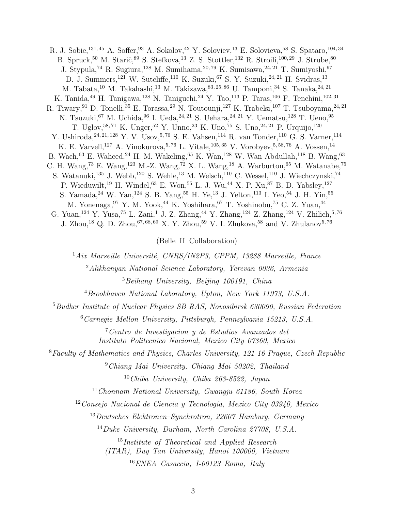R. J. Sobie, <sup>131, 45</sup> A. Soffer, <sup>93</sup> A. Sokolov, <sup>42</sup> Y. Soloviev, <sup>13</sup> E. Solovieva, <sup>58</sup> S. Spataro, <sup>104, 34</sup> B. Spruck,<sup>50</sup> M. Starič,<sup>89</sup> S. Stefkova,<sup>13</sup> Z. S. Stottler,<sup>132</sup> R. Stroili,<sup>100, 29</sup> J. Strube,<sup>80</sup> J. Stypula,<sup>74</sup> R. Sugiura,<sup>128</sup> M. Sumihama,<sup>20,79</sup> K. Sumisawa,<sup>24,21</sup> T. Sumiyoshi,<sup>97</sup> D. J. Summers,<sup>121</sup> W. Sutcliffe,<sup>110</sup> K. Suzuki,<sup>67</sup> S. Y. Suzuki,<sup>24, 21</sup> H. Svidras,<sup>13</sup> M. Tabata,  $^{10}$ M. Takahashi,  $^{13}$ M. Takizawa,  $^{83,25,86}$ U. Tamponi,  $^{34}$ S. Tanaka,  $^{24,21}$ K. Tanida, <sup>49</sup> H. Tanigawa, <sup>128</sup> N. Taniguchi, <sup>24</sup> Y. Tao, <sup>113</sup> P. Taras, <sup>106</sup> F. Tenchini, <sup>102, 31</sup> R. Tiwary, <sup>91</sup> D. Tonelli, <sup>35</sup> E. Torassa, <sup>29</sup> N. Toutounji, <sup>127</sup> K. Trabelsi, <sup>107</sup> T. Tsuboyama, <sup>24, 21</sup> N. Tsuzuki, <sup>67</sup> M. Uchida, <sup>96</sup> I. Ueda, <sup>24, 21</sup> S. Uehara, <sup>24, 21</sup> Y. Uematsu, <sup>128</sup> T. Ueno, <sup>95</sup> T. Uglov,<sup>58, 71</sup> K. Unger,<sup>52</sup> Y. Unno,<sup>23</sup> K. Uno,<sup>75</sup> S. Uno,<sup>24, 21</sup> P. Urquijo,<sup>120</sup> Y. Ushiroda, <sup>24, 21, 128</sup> Y. V. Usov, <sup>5, 76</sup> S. E. Vahsen, <sup>114</sup> R. van Tonder, <sup>110</sup> G. S. Varner, <sup>114</sup> K. E. Varvell,<sup>127</sup> A. Vinokurova,<sup>5, 76</sup> L. Vitale,<sup>105, 35</sup> V. Vorobyev,<sup>5, 58, 76</sup> A. Vossen,<sup>14</sup> B. Wach,  $^{63}$  E. Waheed,  $^{24}$  H. M. Wakeling,  $^{65}$  K. Wan,  $^{128}$  W. Wan Abdullah,  $^{118}$  B. Wang,  $^{63}$ C. H. Wang,<sup>73</sup> E. Wang,<sup>123</sup> M.-Z. Wang,<sup>72</sup> X. L. Wang,<sup>18</sup> A. Warburton,<sup>65</sup> M. Watanabe,<sup>75</sup> S. Watanuki,<sup>135</sup> J. Webb,<sup>120</sup> S. Wehle,<sup>13</sup> M. Welsch,<sup>110</sup> C. Wessel,<sup>110</sup> J. Wiechczynski,<sup>74</sup> P. Wieduwilt,<sup>19</sup> H. Windel,<sup>63</sup> E. Won,<sup>55</sup> L. J. Wu,<sup>44</sup> X. P. Xu,<sup>87</sup> B. D. Yabsley,<sup>127</sup> S. Yamada,<sup>24</sup> W. Yan,<sup>124</sup> S. B. Yang,<sup>55</sup> H. Ye,<sup>13</sup> J. Yelton,<sup>113</sup> I. Yeo,<sup>54</sup> J. H. Yin,<sup>55</sup> M. Yonenaga, <sup>97</sup> Y. M. Yook, <sup>44</sup> K. Yoshihara, <sup>67</sup> T. Yoshinobu, <sup>75</sup> C. Z. Yuan, <sup>44</sup> G. Yuan,<sup>124</sup> Y. Yusa,<sup>75</sup> L. Zani,<sup>1</sup> J. Z. Zhang,<sup>44</sup> Y. Zhang,<sup>124</sup> Z. Zhang,<sup>124</sup> V. Zhilich,<sup>5,76</sup> J. Zhou,<sup>18</sup> Q. D. Zhou,<sup>67,68,69</sup> X. Y. Zhou,<sup>59</sup> V. I. Zhukova,<sup>58</sup> and V. Zhulanov<sup>5,76</sup>

(Belle II Collaboration)

 $1Aix$  Marseille Université, CNRS/IN2P3, CPPM, 13288 Marseille, France

<sup>2</sup>Alikhanyan National Science Laboratory, Yerevan 0036, Armenia

<sup>3</sup>Beihang University, Beijing 100191, China

 $^{4}B$ rookhaven National Laboratory, Upton, New York 11973, U.S.A.

<sup>5</sup>Budker Institute of Nuclear Physics SB RAS, Novosibirsk 630090, Russian Federation

<sup>6</sup>Carnegie Mellon University, Pittsburgh, Pennsylvania 15213, U.S.A.

<sup>7</sup>Centro de Investigacion y de Estudios Avanzados del Instituto Politecnico Nacional, Mexico City 07360, Mexico

<sup>8</sup>Faculty of Mathematics and Physics, Charles University, 121 16 Prague, Czech Republic

<sup>9</sup>Chiang Mai University, Chiang Mai 50202, Thailand

<sup>10</sup>Chiba University, Chiba 263-8522, Japan

 $11$ Chonnam National University, Gwangju 61186, South Korea

 $12$ Consejo Nacional de Ciencia y Tecnología, Mexico City 03940, Mexico

<sup>13</sup>Deutsches Elektronen–Synchrotron, 22607 Hamburg, Germany

<sup>14</sup>Duke University, Durham, North Carolina 27708, U.S.A.

<sup>15</sup>Institute of Theoretical and Applied Research

(ITAR), Duy Tan University, Hanoi 100000, Vietnam

<sup>16</sup>ENEA Casaccia, I-00123 Roma, Italy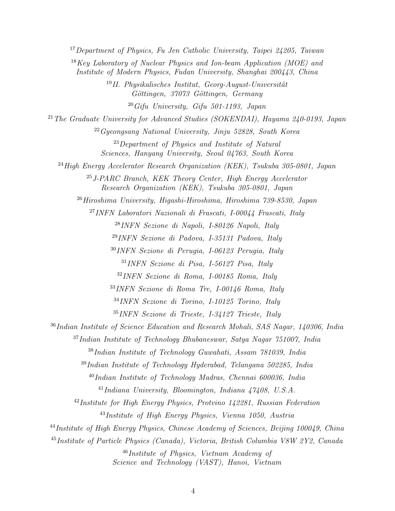<sup>17</sup>Department of Physics, Fu Jen Catholic University, Taipei 24205, Taiwan

 $18$ Key Laboratory of Nuclear Physics and Ion-beam Application (MOE) and Institute of Modern Physics, Fudan University, Shanghai 200443, China

> <sup>19</sup>II. Physikalisches Institut, Georg-August-Universität Göttingen, 37073 Göttingen, Germany

> > $20\,G$ ifu University, Gifu 501-1193, Japan

<sup>21</sup> The Graduate University for Advanced Studies (SOKENDAI), Hayama 240-0193, Japan

<sup>22</sup>Gyeongsang National University, Jinju 52828, South Korea

<sup>23</sup>Department of Physics and Institute of Natural Sciences, Hanyang University, Seoul 04763, South Korea

 $^{24}$ High Energy Accelerator Research Organization (KEK), Tsukuba 305-0801, Japan

 $^{25}$  J-PARC Branch, KEK Theory Center, High Energy Accelerator Research Organization (KEK), Tsukuba 305-0801, Japan

 $^{26}Hiroshima$  University, Higashi-Hiroshima, Hiroshima  $739-8530$ , Japan

<sup>27</sup>INFN Laboratori Nazionali di Frascati, I-00044 Frascati, Italy

<sup>28</sup>INFN Sezione di Napoli, I-80126 Napoli, Italy

<sup>29</sup>INFN Sezione di Padova, I-35131 Padova, Italy

<sup>30</sup>INFN Sezione di Perugia, I-06123 Perugia, Italy

<sup>31</sup>INFN Sezione di Pisa, I-56127 Pisa, Italy

<sup>32</sup>INFN Sezione di Roma, I-00185 Roma, Italy

<sup>33</sup>INFN Sezione di Roma Tre, I-00146 Roma, Italy

<sup>34</sup>INFN Sezione di Torino, I-10125 Torino, Italy

<sup>35</sup>INFN Sezione di Trieste, I-34127 Trieste, Italy

<sup>36</sup>Indian Institute of Science Education and Research Mohali, SAS Nagar, 140306, India

<sup>37</sup>Indian Institute of Technology Bhubaneswar, Satya Nagar 751007, India

<sup>38</sup>Indian Institute of Technology Guwahati, Assam 781039, India

<sup>39</sup>Indian Institute of Technology Hyderabad, Telangana 502285, India

 $^{40}$ Indian Institute of Technology Madras, Chennai 600036, India

 $^{41}$ Indiana University, Bloomington, Indiana  $47408$ , U.S.A.

<sup>42</sup>Institute for High Energy Physics, Protvino 142281, Russian Federation <sup>43</sup>Institute of High Energy Physics, Vienna 1050, Austria

<sup>44</sup>Institute of High Energy Physics, Chinese Academy of Sciences, Beijing 100049, China

<sup>45</sup>Institute of Particle Physics (Canada), Victoria, British Columbia V8W 2Y2, Canada

<sup>46</sup>Institute of Physics, Vietnam Academy of Science and Technology (VAST), Hanoi, Vietnam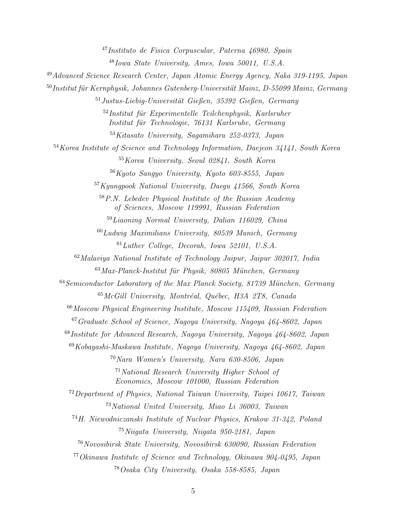Instituto de Fisica Corpuscular, Paterna 46980, Spain Iowa State University, Ames, Iowa 50011, U.S.A. Advanced Science Research Center, Japan Atomic Energy Agency, Naka 319-1195, Japan Institut für Kernphysik, Johannes Gutenberg-Universität Mainz, D-55099 Mainz, Germany Justus-Liebig-Universität Gießen, 35392 Gießen, Germany Institut für Experimentelle Teilchenphysik, Karlsruher Institut für Technologie, 76131 Karlsruhe, Germany Kitasato University, Sagamihara 252-0373, Japan Korea Institute of Science and Technology Information, Daejeon 34141, South Korea Korea University, Seoul 02841, South Korea Kyoto Sangyo University, Kyoto 603-8555, Japan Kyungpook National University, Daegu 41566, South Korea P.N. Lebedev Physical Institute of the Russian Academy of Sciences, Moscow 119991, Russian Federation  $59Liaoning$  Normal University, Dalian 116029, China  $^{60}$ Ludwig Maximilians University, 80539 Munich, Germany Luther College, Decorah, Iowa 52101, U.S.A. Malaviya National Institute of Technology Jaipur, Jaipur 302017, India Max-Planck-Institut für Physik, 80805 München, Germany Semiconductor Laboratory of the Max Planck Society, 81739 München, Germany McGill University, Montréal, Québec, H3A 2T8, Canada Moscow Physical Engineering Institute, Moscow 115409, Russian Federation Graduate School of Science, Nagoya University, Nagoya 464-8602, Japan Institute for Advanced Research, Nagoya University, Nagoya 464-8602, Japan  $69Kobayashi-Maskawa Institute, Naqoya University, Naqoya 464-8602, Japan$ Nara Women's University, Nara 630-8506, Japan National Research University Higher School of Economics, Moscow 101000, Russian Federation Department of Physics, National Taiwan University, Taipei 10617, Taiwan National United University, Miao Li 36003, Taiwan H. Niewodniczanski Institute of Nuclear Physics, Krakow 31-342, Poland Niigata University, Niigata 950-2181, Japan Novosibirsk State University, Novosibirsk 630090, Russian Federation Okinawa Institute of Science and Technology, Okinawa 904-0495, Japan Osaka City University, Osaka 558-8585, Japan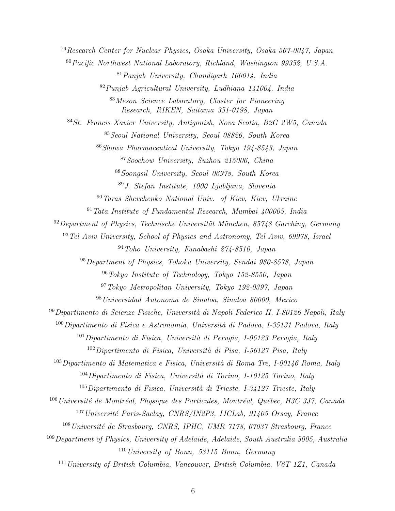Research Center for Nuclear Physics, Osaka University, Osaka 567-0047, Japan Pacific Northwest National Laboratory, Richland, Washington 99352, U.S.A.  $81 Panjab University$ , Chandigarh 160014, India Punjab Agricultural University, Ludhiana 141004, India Meson Science Laboratory, Cluster for Pioneering Research, RIKEN, Saitama 351-0198, Japan St. Francis Xavier University, Antigonish, Nova Scotia, B2G 2W5, Canada Seoul National University, Seoul 08826, South Korea Showa Pharmaceutical University, Tokyo 194-8543, Japan Soochow University, Suzhou 215006, China Soongsil University, Seoul 06978, South Korea J. Stefan Institute, 1000 Ljubljana, Slovenia Taras Shevchenko National Univ. of Kiev, Kiev, Ukraine Tata Institute of Fundamental Research, Mumbai 400005, India Department of Physics, Technische Universität München, 85748 Garching, Germany Tel Aviv University, School of Physics and Astronomy, Tel Aviv, 69978, Israel Toho University, Funabashi 274-8510, Japan Department of Physics, Tohoku University, Sendai 980-8578, Japan Tokyo Institute of Technology, Tokyo 152-8550, Japan Tokyo Metropolitan University, Tokyo 192-0397, Japan Universidad Autonoma de Sinaloa, Sinaloa 80000, Mexico Dipartimento di Scienze Fisiche, Università di Napoli Federico II, I-80126 Napoli, Italy Dipartimento di Fisica e Astronomia, Università di Padova, I-35131 Padova, Italy Dipartimento di Fisica, Università di Perugia, I-06123 Perugia, Italy Dipartimento di Fisica, Università di Pisa, I-56127 Pisa, Italy Dipartimento di Matematica e Fisica, Università di Roma Tre, I-00146 Roma, Italy Dipartimento di Fisica, Università di Torino, I-10125 Torino, Italy Dipartimento di Fisica, Università di Trieste, I-34127 Trieste, Italy Université de Montréal, Physique des Particules, Montréal, Québec, H3C 3J7, Canada Université Paris-Saclay, CNRS/IN2P3, IJCLab, 91405 Orsay, France Université de Strasbourg, CNRS, IPHC, UMR 7178, 67037 Strasbourg, France Department of Physics, University of Adelaide, Adelaide, South Australia 5005, Australia University of Bonn, 53115 Bonn, Germany University of British Columbia, Vancouver, British Columbia, V6T 1Z1, Canada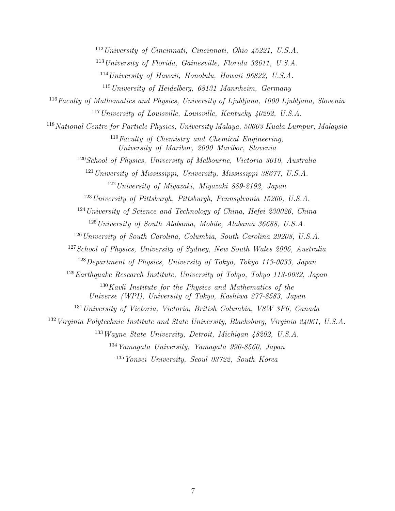University of Cincinnati, Cincinnati, Ohio  $\lambda$ 5221, U.S.A.

University of Florida, Gainesville, Florida 32611, U.S.A.

University of Hawaii, Honolulu, Hawaii 96822, U.S.A.

University of Heidelberg, 68131 Mannheim, Germany

Faculty of Mathematics and Physics, University of Ljubljana, 1000 Ljubljana, Slovenia University of Louisville, Louisville, Kentucky  $40292$ , U.S.A.

National Centre for Particle Physics, University Malaya, 50603 Kuala Lumpur, Malaysia Faculty of Chemistry and Chemical Engineering,

University of Maribor, 2000 Maribor, Slovenia

School of Physics, University of Melbourne, Victoria 3010, Australia

 University of Mississippi, University, Mississippi 38677, U.S.A. University of Miyazaki, Miyazaki 889-2192, Japan

University of Pittsburgh, Pittsburgh, Pennsylvania 15260, U.S.A.

University of Science and Technology of China, Hefei 230026, China

 $1^{125}$  University of South Alabama, Mobile, Alabama 36688, U.S.A.

<sup>126</sup> University of South Carolina, Columbia, South Carolina 29208, U.S.A.

<sup>127</sup> School of Physics, University of Sydney, New South Wales 2006, Australia

Department of Physics, University of Tokyo, Tokyo 113-0033, Japan

Earthquake Research Institute, University of Tokyo, Tokyo 113-0032, Japan

Kavli Institute for the Physics and Mathematics of the

Universe (WPI), University of Tokyo, Kashiwa 277-8583, Japan

<sup>131</sup> University of Victoria, Victoria, British Columbia, V8W 3P6, Canada

Virginia Polytechnic Institute and State University, Blacksburg, Virginia 24061, U.S.A.

Wayne State University, Detroit, Michigan 48202, U.S.A.

 $^{134}Ya$ magata University, Yamagata 990-8560, Japan

Yonsei University, Seoul 03722, South Korea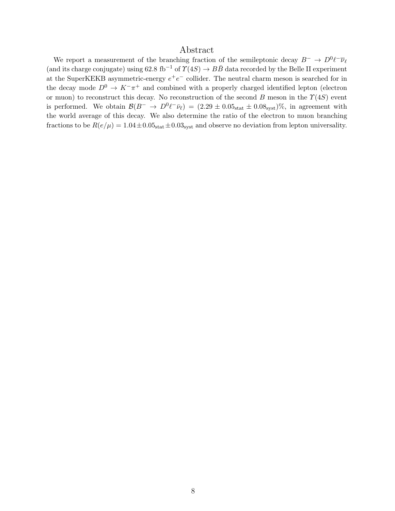# Abstract

We report a measurement of the branching fraction of the semileptonic decay  $B^- \to D^0 \ell^- \overline{\nu}_{\ell}$ (and its charge conjugate) using 62.8 fb<sup>-1</sup> of  $\Upsilon(4S) \rightarrow B\bar{B}$  data recorded by the Belle II experiment at the SuperKEKB asymmetric-energy  $e^+e^-$  collider. The neutral charm meson is searched for in the decay mode  $D^0 \to K^-\pi^+$  and combined with a properly charged identified lepton (electron or muon) to reconstruct this decay. No reconstruction of the second B meson in the  $\Upsilon(4S)$  event is performed. We obtain  $\mathcal{B}(B^- \to D^0 \ell^- \bar{\nu}_\ell) = (2.29 \pm 0.05_{\text{stat}} \pm 0.08_{\text{syst}})\%$ , in agreement with the world average of this decay. We also determine the ratio of the electron to muon branching fractions to be  $R(e/\mu) = 1.04 \pm 0.05_{\text{stat}} \pm 0.03_{\text{syst}}$  and observe no deviation from lepton universality.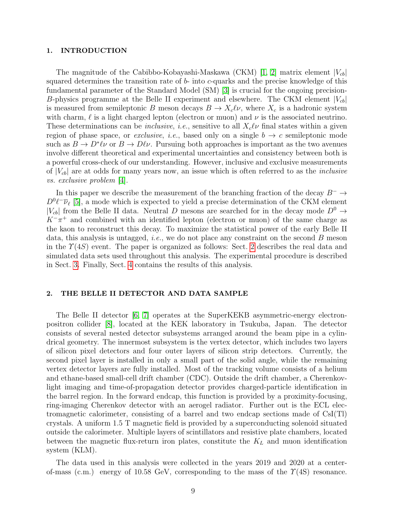#### 1. INTRODUCTION

The magnitude of the Cabibbo-Kobayashi-Maskawa (CKM) [\[1,](#page-15-0) [2\]](#page-15-1) matrix element  $|V_{cb}|$ squared determines the transition rate of  $b$ - into  $c$ -quarks and the precise knowledge of this fundamental parameter of the Standard Model (SM) [\[3\]](#page-15-2) is crucial for the ongoing precision-B-physics programme at the Belle II experiment and elsewhere. The CKM element  $|V_{cb}|$ is measured from semileptonic B meson decays  $B \to X_c \ell \nu$ , where  $X_c$  is a hadronic system with charm,  $\ell$  is a light charged lepton (electron or muon) and  $\nu$  is the associated neutrino. These determinations can be *inclusive*, *i.e.*, sensitive to all  $X_c\ell\nu$  final states within a given region of phase space, or *exclusive*, *i.e.*, based only on a single  $b \rightarrow c$  semileptonic mode such as  $B \to D^*\ell\nu$  or  $B \to D\ell\nu$ . Pursuing both approaches is important as the two avenues involve different theoretical and experimental uncertainties and consistency between both is a powerful cross-check of our understanding. However, inclusive and exclusive measurements of  $|V_{cb}|$  are at odds for many years now, an issue which is often referred to as the *inclusive* vs. exclusive problem [\[4\]](#page-15-3).

In this paper we describe the measurement of the branching fraction of the decay  $B^- \to$  $D^0\ell^-\overline{\nu}_\ell$  [\[5\]](#page-15-4), a mode which is expected to yield a precise determination of the CKM element  $|V_{cb}|$  from the Belle II data. Neutral D mesons are searched for in the decay mode  $D^0 \rightarrow$  $K^-\pi^+$  and combined with an identified lepton (electron or muon) of the same charge as the kaon to reconstruct this decay. To maximize the statistical power of the early Belle II data, this analysis is untagged, *i.e.*, we do not place any constraint on the second  $B$  meson in the  $\Upsilon(4S)$  event. The paper is organized as follows: Sect. [2](#page-8-0) describes the real data and simulated data sets used throughout this analysis. The experimental procedure is described in Sect. [3.](#page-9-0) Finally, Sect. [4](#page-12-0) contains the results of this analysis.

### <span id="page-8-0"></span>2. THE BELLE II DETECTOR AND DATA SAMPLE

The Belle II detector [\[6,](#page-15-5) [7\]](#page-15-6) operates at the SuperKEKB asymmetric-energy electronpositron collider [\[8\]](#page-15-7), located at the KEK laboratory in Tsukuba, Japan. The detector consists of several nested detector subsystems arranged around the beam pipe in a cylindrical geometry. The innermost subsystem is the vertex detector, which includes two layers of silicon pixel detectors and four outer layers of silicon strip detectors. Currently, the second pixel layer is installed in only a small part of the solid angle, while the remaining vertex detector layers are fully installed. Most of the tracking volume consists of a helium and ethane-based small-cell drift chamber (CDC). Outside the drift chamber, a Cherenkovlight imaging and time-of-propagation detector provides charged-particle identification in the barrel region. In the forward endcap, this function is provided by a proximity-focusing, ring-imaging Cherenkov detector with an aerogel radiator. Further out is the ECL electromagnetic calorimeter, consisting of a barrel and two endcap sections made of CsI(Tl) crystals. A uniform 1.5 T magnetic field is provided by a superconducting solenoid situated outside the calorimeter. Multiple layers of scintillators and resistive plate chambers, located between the magnetic flux-return iron plates, constitute the  $K_L$  and muon identification system (KLM).

The data used in this analysis were collected in the years 2019 and 2020 at a centerof-mass (c.m.) energy of 10.58 GeV, corresponding to the mass of the  $\Upsilon(4S)$  resonance.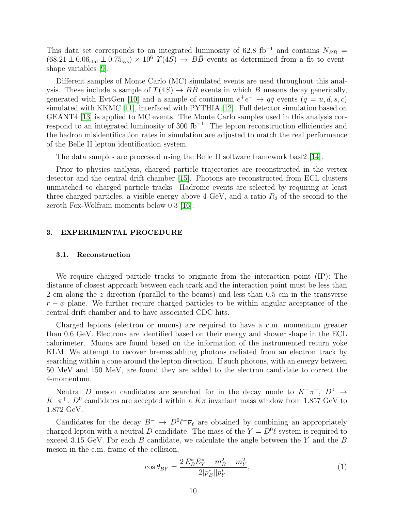This data set corresponds to an integrated luminosity of 62.8 fb<sup>-1</sup> and contains  $N_{B\bar{B}}$  =  $(68.21 \pm 0.06<sub>stat</sub> \pm 0.75<sub>sys</sub>) \times 10<sup>6</sup> \Upsilon(4S) \rightarrow B\overline{B}$  events as determined from a fit to eventshape variables [\[9\]](#page-15-8).

Different samples of Monte Carlo (MC) simulated events are used throughout this analysis. These include a sample of  $\Upsilon(4S) \to BB$  events in which B mesons decay generically, generated with EvtGen [\[10\]](#page-15-9) and a sample of continuum  $e^+e^- \rightarrow q\bar{q}$  events  $(q = u, d, s, c)$ simulated with KKMC [\[11\]](#page-15-10), interfaced with PYTHIA [\[12\]](#page-15-11). Full detector simulation based on GEANT4 [\[13\]](#page-15-12) is applied to MC events. The Monte Carlo samples used in this analysis correspond to an integrated luminosity of 300  $fb^{-1}$ . The lepton reconstruction efficiencies and the hadron misidentification rates in simulation are adjusted to match the real performance of the Belle II lepton identification system.

The data samples are processed using the Belle II software framework basf2 [\[14\]](#page-16-0).

Prior to physics analysis, charged particle trajectories are reconstructed in the vertex detector and the central drift chamber [\[15\]](#page-16-1). Photons are reconstructed from ECL clusters unmatched to charged particle tracks. Hadronic events are selected by requiring at least three charged particles, a visible energy above  $4 \text{ GeV}$ , and a ratio  $R_2$  of the second to the zeroth Fox-Wolfram moments below 0.3 [\[16\]](#page-16-2).

# <span id="page-9-0"></span>3. EXPERIMENTAL PROCEDURE

#### 3.1. Reconstruction

We require charged particle tracks to originate from the interaction point (IP): The distance of closest approach between each track and the interaction point must be less than 2 cm along the z direction (parallel to the beams) and less than 0.5 cm in the transverse  $r - \phi$  plane. We further require charged particles to be within angular acceptance of the central drift chamber and to have associated CDC hits.

Charged leptons (electron or muons) are required to have a c.m. momentum greater than 0.6 GeV. Electrons are identified based on their energy and shower shape in the ECL calorimeter. Muons are found based on the information of the instrumented return yoke KLM. We attempt to recover bremsstahlung photons radiated from an electron track by searching within a cone around the lepton direction. If such photons, with an energy between 50 MeV and 150 MeV, are found they are added to the electron candidate to correct the 4-momentum.

Neutral D meson candidates are searched for in the decay mode to  $K^-\pi^+$ ,  $D^0 \rightarrow$  $K^-\pi^+$ .  $D^0$  candidates are accepted within a  $K\pi$  invariant mass window from 1.857 GeV to 1.872 GeV.

Candidates for the decay  $B^- \to D^0 \ell^- \bar{\nu}_{\ell}$  are obtained by combining an appropriately charged lepton with a neutral D candidate. The mass of the  $Y = D^0\ell$  system is required to exceed 3.15 GeV. For each  $B$  candidate, we calculate the angle between the Y and the  $B$ meson in the c.m. frame of the collision,

$$
\cos \theta_{BY} = \frac{2 E_B^* E_Y^* - m_B^2 - m_Y^2}{2|p_B^*||p_Y^*|},\tag{1}
$$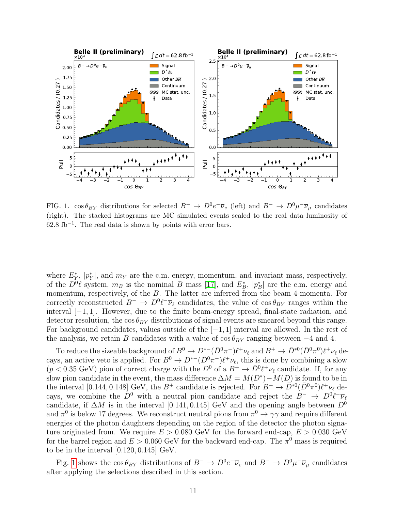

<span id="page-10-0"></span>FIG. 1.  $\cos \theta_{BY}$  distributions for selected  $B^- \to D^0 e^- \overline{\nu}_e$  (left) and  $B^- \to D^0 \mu^- \overline{\nu}_\mu$  candidates (right). The stacked histograms are MC simulated events scaled to the real data luminosity of  $62.8 \text{ fb}^{-1}$ . The real data is shown by points with error bars.

where  $E_Y^*$ ,  $|p_Y^*|$ , and  $m_Y$  are the c.m. energy, momentum, and invariant mass, respectively, of the  $D^0\ell$  system,  $m_B$  is the nominal B mass [\[17\]](#page-16-3), and  $E_B^*$ ,  $|p_B^*|$  are the c.m. energy and momentum, respectively, of the B. The latter are inferred from the beam 4-momenta. For correctly reconstructed  $B^- \to D^0 \ell^- \overline{\nu}_{\ell}$  candidates, the value of  $\cos \theta_{BY}$  ranges within the interval [−1, 1]. However, due to the finite beam-energy spread, final-state radiation, and detector resolution, the  $\cos \theta_{BY}$  distributions of signal events are smeared beyond this range. For background candidates, values outside of the  $[-1, 1]$  interval are allowed. In the rest of the analysis, we retain B candidates with a value of  $\cos \theta_{BY}$  ranging between  $-4$  and 4.

To reduce the sizeable background of  $B^0 \to D^{*-}(\bar{D}^0 \pi^-)\ell^+\nu_{\ell}$  and  $B^+ \to \bar{D}^{*0}(\bar{D}^0 \pi^0)\ell^+\nu_{\ell}$  decays, an active veto is applied. For  $B^0 \to D^{*-}(\bar{D}^0 \pi^-)\ell^+\nu_{\ell}$ , this is done by combining a slow  $(p < 0.35 \text{ GeV})$  pion of correct charge with the  $D^0$  of a  $B^+ \to \bar{D}^0 \ell^+ \nu_{\ell}$  candidate. If, for any slow pion candidate in the event, the mass difference  $\Delta M = M(D^*) - M(D)$  is found to be in the interval [0.144, 0.148] GeV, the  $B^+$  candidate is rejected. For  $B^+ \to \overline{D}^{*0}(\overline{D}^0\pi^0)\ell^+\nu_{\ell}$  decays, we combine the  $D^0$  with a neutral pion candidate and reject the  $B^- \to D^0 \ell^- \overline{\nu}_{\ell}$ candidate, if  $\Delta M$  is in the interval [0.141, 0.145] GeV and the opening angle between  $D^0$ and  $\pi^0$  is below 17 degrees. We reconstruct neutral pions from  $\pi^0 \to \gamma\gamma$  and require different energies of the photon daughters depending on the region of the detector the photon signature originated from. We require  $E > 0.080$  GeV for the forward end-cap,  $E > 0.030$  GeV for the barrel region and  $E > 0.060$  GeV for the backward end-cap. The  $\pi^0$  mass is required to be in the interval [0.120, 0.145] GeV.

Fig. [1](#page-10-0) shows the  $\cos \theta_{BY}$  distributions of  $B^- \to D^0 e^- \overline{\nu}_e$  and  $B^- \to D^0 \mu^- \overline{\nu}_\mu$  candidates after applying the selections described in this section.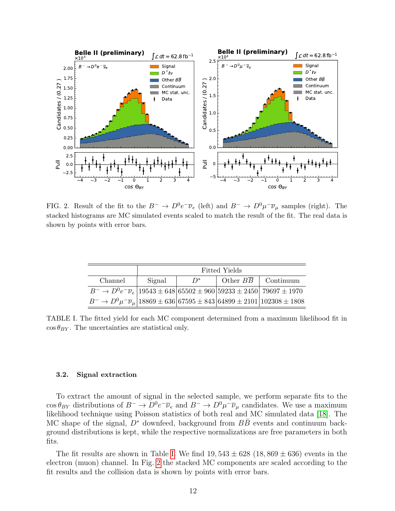

<span id="page-11-1"></span>FIG. 2. Result of the fit to the  $B^- \to D^0 e^- \overline{\nu}_e$  (left) and  $B^- \to D^0 \mu^- \overline{\nu}_\mu$  samples (right). The stacked histograms are MC simulated events scaled to match the result of the fit. The real data is shown by points with error bars.

|                                                                                                                      | Fitted Yields |       |  |                                   |
|----------------------------------------------------------------------------------------------------------------------|---------------|-------|--|-----------------------------------|
| Channel                                                                                                              | Signal        | $D^*$ |  | Other $B\overline{B}$   Continuum |
| $B^ \rightarrow$ $D^0e^ \overline{\nu}_e$   19543 $\pm$ 648   65502 $\pm$ 960   59233 $\pm$ 2450   79697 $\pm$ 1970  |               |       |  |                                   |
| $B^ \rightarrow$ $D^0 \mu^- \overline{\nu}_{\mu}$ 18869 $\pm$ 636 67595 $\pm$ 843 64899 $\pm$ 2101 102308 $\pm$ 1808 |               |       |  |                                   |

<span id="page-11-0"></span>TABLE I. The fitted yield for each MC component determined from a maximum likelihood fit in  $\cos \theta_{BY}$ . The uncertainties are statistical only.

#### 3.2. Signal extraction

To extract the amount of signal in the selected sample, we perform separate fits to the  $\cos \theta_{BY}$  distributions of  $B^- \to D^0 e^- \overline{\nu}_e$  and  $B^- \to D^0 \mu^- \overline{\nu}_\mu$  candidates. We use a maximum likelihood technique using Poisson statistics of both real and MC simulated data [\[18\]](#page-16-4). The MC shape of the signal,  $D^*$  downfeed, background from  $BB$  events and continuum background distributions is kept, while the respective normalizations are free parameters in both fits.

The fit results are shown in Table [I.](#page-11-0) We find  $19,543 \pm 628$  (18, 869  $\pm$  636) events in the electron (muon) channel. In Fig. [2](#page-11-1) the stacked MC components are scaled according to the fit results and the collision data is shown by points with error bars.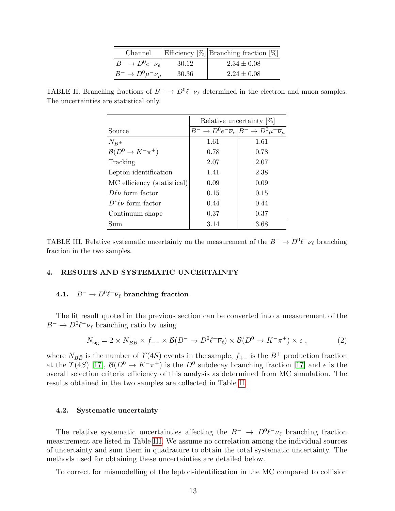| Channel                                        |       | Efficiency $[\%]$ Branching fraction $[\%]$ |
|------------------------------------------------|-------|---------------------------------------------|
| $B^{-} \to D^{0}e^{-}\overline{\nu}_{e}$       | 30.12 | $2.34 \pm 0.08$                             |
| $B^{-} \to D^{0} \mu^{-} \overline{\nu}_{\mu}$ | 30.36 | $2.24 \pm 0.08$                             |

<span id="page-12-1"></span>TABLE II. Branching fractions of  $B^- \to D^0 \ell^- \overline{\nu}_{\ell}$  determined in the electron and muon samples. The uncertainties are statistical only.

|                                  | Relative uncertainty $[\%]$ |                                                                           |  |
|----------------------------------|-----------------------------|---------------------------------------------------------------------------|--|
| Source                           |                             | $B^- \to D^0 e^- \overline{\nu}_e   B^- \to D^0 \mu^- \overline{\nu}_\mu$ |  |
| $N_{B^{\pm}}$                    | 1.61                        | 1.61                                                                      |  |
| $\mathcal{B}(D^0 \to K^- \pi^+)$ | 0.78                        | 0.78                                                                      |  |
| Tracking                         | 2.07                        | 2.07                                                                      |  |
| Lepton identification            | 1.41                        | 2.38                                                                      |  |
| MC efficiency (statistical)      | 0.09                        | 0.09                                                                      |  |
| $D\ell\nu$ form factor           | 0.15                        | 0.15                                                                      |  |
| $D^*\ell\nu$ form factor         | 0.44                        | 0.44                                                                      |  |
| Continuum shape                  | 0.37                        | 0.37                                                                      |  |
| Sum                              | 3.14                        | 3.68                                                                      |  |

<span id="page-12-2"></span>TABLE III. Relative systematic uncertainty on the measurement of the  $B^- \to D^0 \ell^- \overline{\nu}_{\ell}$  branching fraction in the two samples.

## <span id="page-12-0"></span>4. RESULTS AND SYSTEMATIC UNCERTAINTY

# 4.1.  $B^- \to D^0 \ell^- \overline{\nu}_{\ell}$  branching fraction

The fit result quoted in the previous section can be converted into a measurement of the  $B^- \to D^0 \ell^- \overline{\nu}_{\ell}$  branching ratio by using

$$
N_{\text{sig}} = 2 \times N_{B\bar{B}} \times f_{+-} \times \mathcal{B}(B^- \to D^0 \ell^- \overline{\nu}_{\ell}) \times \mathcal{B}(D^0 \to K^- \pi^+) \times \epsilon , \qquad (2)
$$

where  $N_{B\bar{B}}$  is the number of  $\Upsilon(4S)$  events in the sample,  $f_{+-}$  is the  $B^+$  production fraction at the  $\Upsilon(4S)$  [\[17\]](#page-16-3),  $\mathcal{B}(D^0 \to K^-\pi^+)$  is the  $D^0$  subdecay branching fraction [17] and  $\epsilon$  is the overall selection criteria efficiency of this analysis as determined from MC simulation. The results obtained in the two samples are collected in Table [II.](#page-12-1)

#### 4.2. Systematic uncertainty

The relative systematic uncertainties affecting the  $B^- \to D^0 \ell^- \overline{\nu}_{\ell}$  branching fraction measurement are listed in Table [III.](#page-12-2) We assume no correlation among the individual sources of uncertainty and sum them in quadrature to obtain the total systematic uncertainty. The methods used for obtaining these uncertainties are detailed below.

To correct for mismodelling of the lepton-identification in the MC compared to collision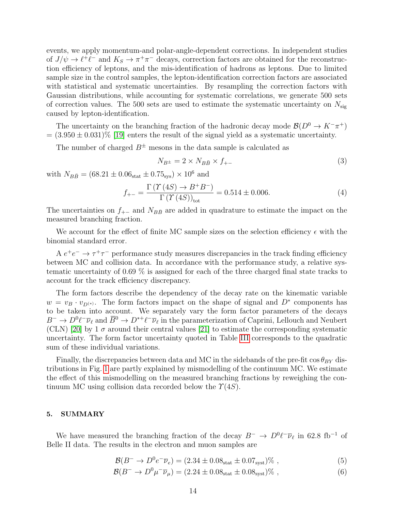events, we apply momentum-and polar-angle-dependent corrections. In independent studies of  $J/\psi \to \ell^+ \ell^-$  and  $K_S \to \pi^+ \pi^-$  decays, correction factors are obtained for the reconstruction efficiency of leptons, and the mis-identification of hadrons as leptons. Due to limited sample size in the control samples, the lepton-identification correction factors are associated with statistical and systematic uncertainties. By resampling the correction factors with Gaussian distributions, while accounting for systematic correlations, we generate 500 sets of correction values. The 500 sets are used to estimate the systematic uncertainty on  $N_{\text{sig}}$ caused by lepton-identification.

The uncertainty on the branching fraction of the hadronic decay mode  $\mathcal{B}(D^0 \to K^-\pi^+)$  $= (3.950 \pm 0.031)\%$  [\[19\]](#page-16-5) enters the result of the signal yield as a systematic uncertainty.

The number of charged  $B^{\pm}$  mesons in the data sample is calculated as

$$
N_{B^{\pm}} = 2 \times N_{B\bar{B}} \times f_{+-} \tag{3}
$$

with  $N_{B\bar{B}} = (68.21 \pm 0.06_{\text{stat}} \pm 0.75_{\text{sys}}) \times 10^6$  and

$$
f_{+-} = \frac{\Gamma(\Upsilon(4S) \to B^+ B^-)}{\Gamma(\Upsilon(4S))_{\text{tot}}} = 0.514 \pm 0.006. \tag{4}
$$

The uncertainties on  $f_{+-}$  and  $N_{B\bar{B}}$  are added in quadrature to estimate the impact on the measured branching fraction.

We account for the effect of finite MC sample sizes on the selection efficiency  $\epsilon$  with the binomial standard error.

A  $e^+e^- \rightarrow \tau^+\tau^-$  performance study measures discrepancies in the track finding efficiency between MC and collision data. In accordance with the performance study, a relative systematic uncertainty of 0.69 % is assigned for each of the three charged final state tracks to account for the track efficiency discrepancy.

The form factors describe the dependency of the decay rate on the kinematic variable  $w = v_B \cdot v_{D^{(*)}}$ . The form factors impact on the shape of signal and  $D^*$  components has to be taken into account. We separately vary the form factor parameters of the decays  $B^- \to D^0 \ell^- \overline{\nu}_{\ell}$  and  $\overline{B}^0 \to D^{*+} \ell^- \overline{\nu}_{\ell}$  in the parameterization of Caprini, Lellouch and Neubert (CLN) [\[20\]](#page-16-6) by 1  $\sigma$  around their central values [\[21\]](#page-16-7) to estimate the corresponding systematic uncertainty. The form factor uncertainty quoted in Table [III](#page-12-2) corresponds to the quadratic sum of these individual variations.

Finally, the discrepancies between data and MC in the sidebands of the pre-fit  $\cos \theta_{BY}$  distributions in Fig. [1](#page-10-0) are partly explained by mismodelling of the continuum MC. We estimate the effect of this mismodelling on the measured branching fractions by reweighing the continuum MC using collision data recorded below the  $\Upsilon(4S)$ .

#### 5. SUMMARY

We have measured the branching fraction of the decay  $B^- \to D^0 \ell^- \overline{\nu}_{\ell}$  in 62.8 fb<sup>-1</sup> of Belle II data. The results in the electron and muon samples are

$$
\mathcal{B}(B^- \to D^0 e^- \overline{\nu}_e) = (2.34 \pm 0.08_{\text{stat}} \pm 0.07_{\text{syst}})\% \tag{5}
$$

$$
\mathcal{B}(B^- \to D^0 \mu^- \overline{\nu}_{\mu}) = (2.24 \pm 0.08_{\text{stat}} \pm 0.08_{\text{syst}})\% , \qquad (6)
$$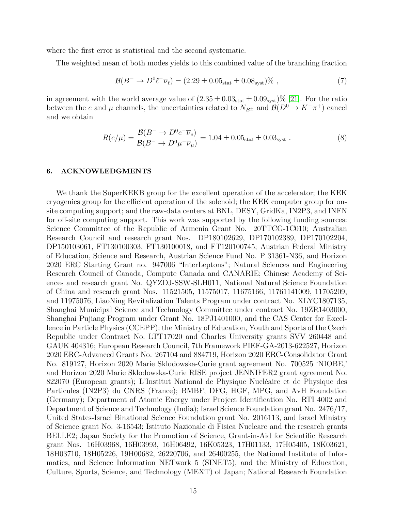where the first error is statistical and the second systematic.

The weighted mean of both modes yields to this combined value of the branching fraction

$$
\mathcal{B}(B^- \to D^0 \ell^- \overline{\nu}_{\ell}) = (2.29 \pm 0.05_{\text{stat}} \pm 0.08_{\text{syst}})\% ,\qquad (7)
$$

in agreement with the world average value of  $(2.35 \pm 0.03<sub>stat</sub> \pm 0.09<sub>syst</sub>)\%$  [\[21\]](#page-16-7). For the ratio between the e and  $\mu$  channels, the uncertainties related to  $N_{B^{\pm}}$  and  $\mathcal{B}(D^0 \to K^-\pi^+)$  cancel and we obtain

$$
R(e/\mu) = \frac{\mathcal{B}(B^- \to D^0 e^- \overline{\nu}_e)}{\mathcal{B}(B^- \to D^0 \mu^- \overline{\nu}_\mu)} = 1.04 \pm 0.05_{\text{stat}} \pm 0.03_{\text{syst}} . \tag{8}
$$

### 6. ACKNOWLEDGMENTS

We thank the SuperKEKB group for the excellent operation of the accelerator; the KEK cryogenics group for the efficient operation of the solenoid; the KEK computer group for onsite computing support; and the raw-data centers at BNL, DESY, GridKa, IN2P3, and INFN for off-site computing support. This work was supported by the following funding sources: Science Committee of the Republic of Armenia Grant No. 20TTCG-1C010; Australian Research Council and research grant Nos. DP180102629, DP170102389, DP170102204, DP150103061, FT130100303, FT130100018, and FT120100745; Austrian Federal Ministry of Education, Science and Research, Austrian Science Fund No. P 31361-N36, and Horizon 2020 ERC Starting Grant no. 947006 "InterLeptons"; Natural Sciences and Engineering Research Council of Canada, Compute Canada and CANARIE; Chinese Academy of Sciences and research grant No. QYZDJ-SSW-SLH011, National Natural Science Foundation of China and research grant Nos. 11521505, 11575017, 11675166, 11761141009, 11705209, and 11975076, LiaoNing Revitalization Talents Program under contract No. XLYC1807135, Shanghai Municipal Science and Technology Committee under contract No. 19ZR1403000, Shanghai Pujiang Program under Grant No. 18PJ1401000, and the CAS Center for Excellence in Particle Physics (CCEPP); the Ministry of Education, Youth and Sports of the Czech Republic under Contract No. LTT17020 and Charles University grants SVV 260448 and GAUK 404316; European Research Council, 7th Framework PIEF-GA-2013-622527, Horizon 2020 ERC-Advanced Grants No. 267104 and 884719, Horizon 2020 ERC-Consolidator Grant No. 819127, Horizon 2020 Marie Sklodowska-Curie grant agreement No. 700525 'NIOBE,' and Horizon 2020 Marie Sklodowska-Curie RISE project JENNIFER2 grant agreement No. 822070 (European grants); L'Institut National de Physique Nucléaire et de Physique des Particules (IN2P3) du CNRS (France); BMBF, DFG, HGF, MPG, and AvH Foundation (Germany); Department of Atomic Energy under Project Identification No. RTI 4002 and Department of Science and Technology (India); Israel Science Foundation grant No. 2476/17, United States-Israel Binational Science Foundation grant No. 2016113, and Israel Ministry of Science grant No. 3-16543; Istituto Nazionale di Fisica Nucleare and the research grants BELLE2; Japan Society for the Promotion of Science, Grant-in-Aid for Scientific Research grant Nos. 16H03968, 16H03993, 16H06492, 16K05323, 17H01133, 17H05405, 18K03621, 18H03710, 18H05226, 19H00682, 26220706, and 26400255, the National Institute of Informatics, and Science Information NETwork 5 (SINET5), and the Ministry of Education, Culture, Sports, Science, and Technology (MEXT) of Japan; National Research Foundation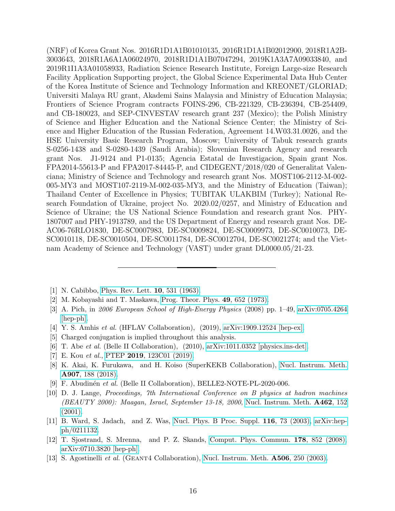(NRF) of Korea Grant Nos. 2016R1D1A1B01010135, 2016R1D1A1B02012900, 2018R1A2B-3003643, 2018R1A6A1A06024970, 2018R1D1A1B07047294, 2019K1A3A7A09033840, and 2019R1I1A3A01058933, Radiation Science Research Institute, Foreign Large-size Research Facility Application Supporting project, the Global Science Experimental Data Hub Center of the Korea Institute of Science and Technology Information and KREONET/GLORIAD; Universiti Malaya RU grant, Akademi Sains Malaysia and Ministry of Education Malaysia; Frontiers of Science Program contracts FOINS-296, CB-221329, CB-236394, CB-254409, and CB-180023, and SEP-CINVESTAV research grant 237 (Mexico); the Polish Ministry of Science and Higher Education and the National Science Center; the Ministry of Science and Higher Education of the Russian Federation, Agreement 14.W03.31.0026, and the HSE University Basic Research Program, Moscow; University of Tabuk research grants S-0256-1438 and S-0280-1439 (Saudi Arabia); Slovenian Research Agency and research grant Nos. J1-9124 and P1-0135; Agencia Estatal de Investigacion, Spain grant Nos. FPA2014-55613-P and FPA2017-84445-P, and CIDEGENT/2018/020 of Generalitat Valenciana; Ministry of Science and Technology and research grant Nos. MOST106-2112-M-002- 005-MY3 and MOST107-2119-M-002-035-MY3, and the Ministry of Education (Taiwan); Thailand Center of Excellence in Physics; TUBITAK ULAKBIM (Turkey); National Research Foundation of Ukraine, project No. 2020.02/0257, and Ministry of Education and Science of Ukraine; the US National Science Foundation and research grant Nos. PHY-1807007 and PHY-1913789, and the US Department of Energy and research grant Nos. DE-AC06-76RLO1830, DE-SC0007983, DE-SC0009824, DE-SC0009973, DE-SC0010073, DE-SC0010118, DE-SC0010504, DE-SC0011784, DE-SC0012704, DE-SC0021274; and the Vietnam Academy of Science and Technology (VAST) under grant DL0000.05/21-23.

- <span id="page-15-0"></span>[1] N. Cabibbo, [Phys. Rev. Lett.](http://dx.doi.org/10.1103/PhysRevLett.10.531) 10, 531 (1963).
- <span id="page-15-1"></span>[2] M. Kobayashi and T. Maskawa, [Prog. Theor. Phys.](http://dx.doi.org/10.1143/PTP.49.652) 49, 652 (1973).
- <span id="page-15-2"></span>[3] A. Pich, in 2006 European School of High-Energy Physics (2008) pp. 1–49, [arXiv:0705.4264](http://arxiv.org/abs/0705.4264) [\[hep-ph\].](http://arxiv.org/abs/0705.4264)
- <span id="page-15-3"></span>[4] Y. S. Amhis et al. (HFLAV Collaboration), (2019), [arXiv:1909.12524 \[hep-ex\].](http://arxiv.org/abs/1909.12524)
- <span id="page-15-4"></span>[5] Charged conjugation is implied throughout this analysis.
- <span id="page-15-5"></span>[6] T. Abe et al. (Belle II Collaboration), (2010), [arXiv:1011.0352 \[physics.ins-det\].](http://arxiv.org/abs/1011.0352)
- <span id="page-15-6"></span>[7] E. Kou et al., PTEP 2019[, 123C01 \(2019\).](http://dx.doi.org/10.1093/ptep/ptz106)
- <span id="page-15-7"></span>[8] K. Akai, K. Furukawa, and H. Koiso (SuperKEKB Collaboration), [Nucl. Instrum. Meth.](http://dx.doi.org/ 10.1016/j.nima.2018.08.017) A907[, 188 \(2018\).](http://dx.doi.org/ 10.1016/j.nima.2018.08.017)
- <span id="page-15-8"></span>[9] F. Abudinén et al. (Belle II Collaboration), BELLE2-NOTE-PL-2020-006.
- <span id="page-15-9"></span>[10] D. J. Lange, Proceedings, 7th International Conference on B physics at hadron machines (BEAUTY 2000): Maagan, Israel, September 13-18, 2000, [Nucl. Instrum. Meth.](http://dx.doi.org/10.1016/S0168-9002(01)00089-4) A462, 152 [\(2001\).](http://dx.doi.org/10.1016/S0168-9002(01)00089-4)
- <span id="page-15-10"></span>[11] B. Ward, S. Jadach, and Z. Was, [Nucl. Phys. B Proc. Suppl.](http://dx.doi.org/ 10.1016/S0920-5632(03)80147-0) 116, 73 (2003), [arXiv:hep](http://arxiv.org/abs/hep-ph/0211132)[ph/0211132.](http://arxiv.org/abs/hep-ph/0211132)
- <span id="page-15-11"></span>[12] T. Sjostrand, S. Mrenna, and P. Z. Skands, [Comput. Phys. Commun.](http://dx.doi.org/10.1016/j.cpc.2008.01.036) 178, 852 (2008), [arXiv:0710.3820 \[hep-ph\].](http://arxiv.org/abs/0710.3820)
- <span id="page-15-12"></span>[13] S. Agostinelli et al. (GEANT4 Collaboration), [Nucl. Instrum. Meth.](http://dx.doi.org/10.1016/S0168-9002(03)01368-8) **A506**, 250 (2003).